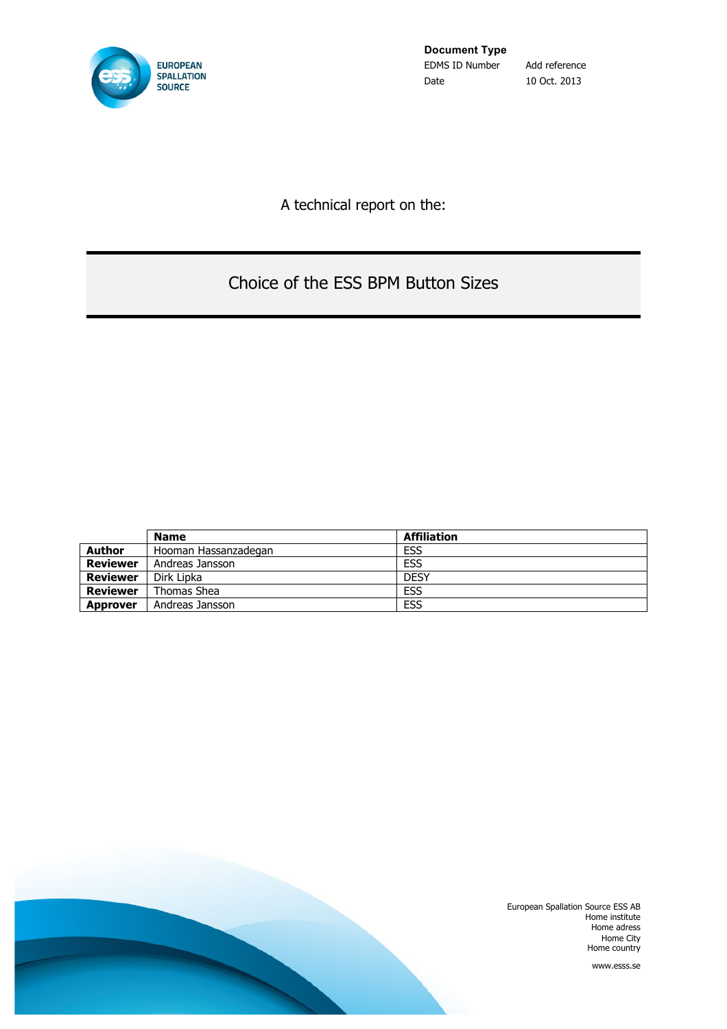

**Document Type** EDMS ID Number Add reference Date 10 Oct. 2013

A technical report on the:

# Choice of the ESS BPM Button Sizes

|                 | <b>Name</b>          | <b>Affiliation</b> |
|-----------------|----------------------|--------------------|
| <b>Author</b>   | Hooman Hassanzadegan | <b>ESS</b>         |
| Reviewer        | Andreas Jansson      | <b>ESS</b>         |
| Reviewer        | Dirk Lipka           | <b>DESY</b>        |
| Reviewer        | Thomas Shea          | <b>ESS</b>         |
| <b>Approver</b> | Andreas Jansson      | <b>ESS</b>         |



European Spallation Source ESS AB Home institute Home adress Home City Home country

www.esss.se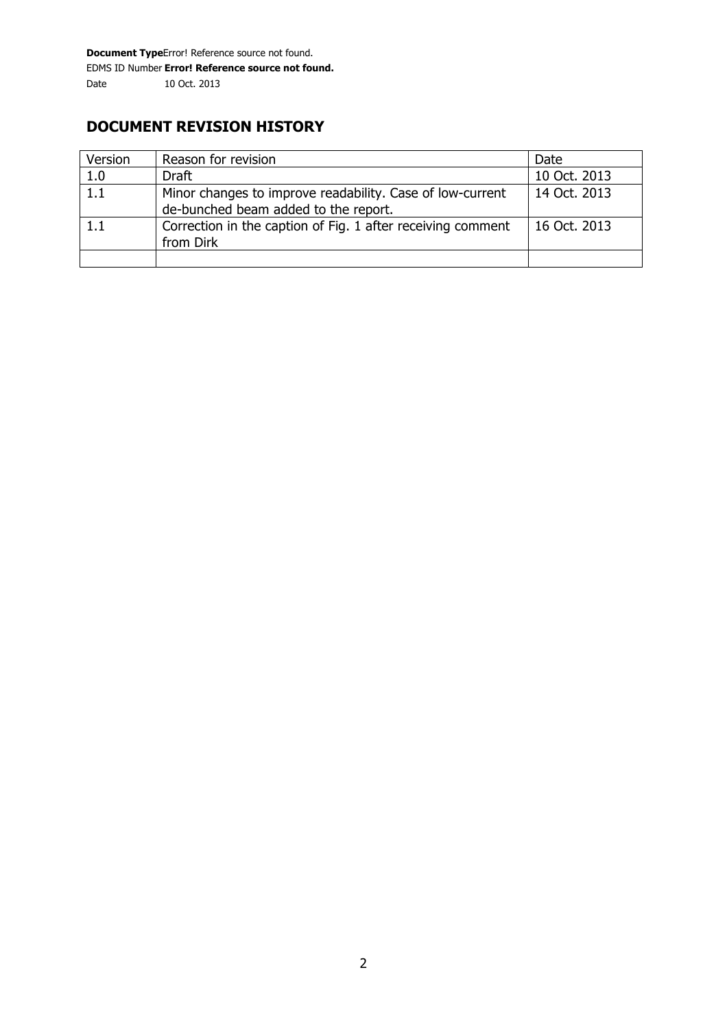## **DOCUMENT REVISION HISTORY**

| Version | Reason for revision                                         | Date         |
|---------|-------------------------------------------------------------|--------------|
| 1.0     | <b>Draft</b>                                                | 10 Oct. 2013 |
| 1.1     | Minor changes to improve readability. Case of low-current   | 14 Oct. 2013 |
|         | de-bunched beam added to the report.                        |              |
| 1.1     | Correction in the caption of Fig. 1 after receiving comment | 16 Oct. 2013 |
|         | from Dirk                                                   |              |
|         |                                                             |              |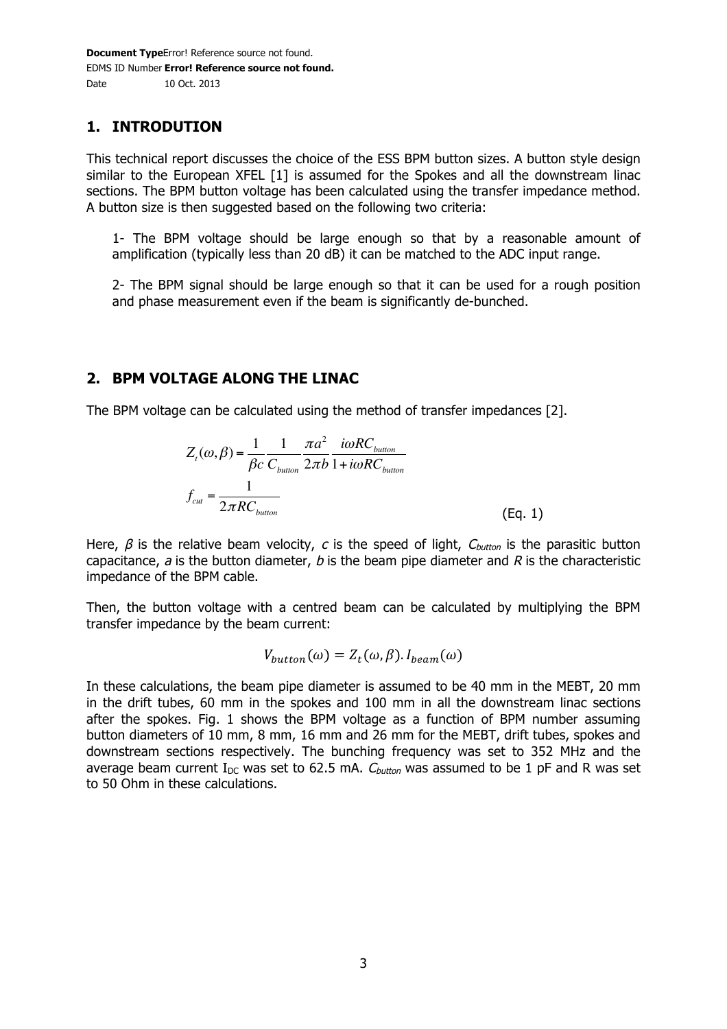## **1. INTRODUTION**

This technical report discusses the choice of the ESS BPM button sizes. A button style design similar to the European XFEL [1] is assumed for the Spokes and all the downstream linac sections. The BPM button voltage has been calculated using the transfer impedance method. A button size is then suggested based on the following two criteria:

1- The BPM voltage should be large enough so that by a reasonable amount of amplification (typically less than 20 dB) it can be matched to the ADC input range.

2- The BPM signal should be large enough so that it can be used for a rough position and phase measurement even if the beam is significantly de-bunched.

## **2. BPM VOLTAGE ALONG THE LINAC**

The BPM voltage can be calculated using the method of transfer impedances [2].

$$
Z_{t}(\omega,\beta) = \frac{1}{\beta c} \frac{1}{C_{\text{button}}} \frac{\pi a^{2}}{2\pi b} \frac{i\omega RC_{\text{button}}}{1 + i\omega RC_{\text{button}}}
$$

$$
f_{\text{cut}} = \frac{1}{2\pi RC_{\text{button}}} \tag{Eq. 1}
$$

Here,  $\beta$  is the relative beam velocity, c is the speed of light,  $C_{\text{bottom}}$  is the parasitic button capacitance,  $a$  is the button diameter,  $b$  is the beam pipe diameter and  $R$  is the characteristic impedance of the BPM cable.

Then, the button voltage with a centred beam can be calculated by multiplying the BPM transfer impedance by the beam current:

$$
V_{button}(\omega) = Z_t(\omega, \beta). I_{beam}(\omega)
$$

In these calculations, the beam pipe diameter is assumed to be 40 mm in the MEBT, 20 mm in the drift tubes, 60 mm in the spokes and 100 mm in all the downstream linac sections after the spokes. Fig. 1 shows the BPM voltage as a function of BPM number assuming button diameters of 10 mm, 8 mm, 16 mm and 26 mm for the MEBT, drift tubes, spokes and downstream sections respectively. The bunching frequency was set to 352 MHz and the average beam current  $I_{DC}$  was set to 62.5 mA.  $C_{button}$  was assumed to be 1 pF and R was set to 50 Ohm in these calculations.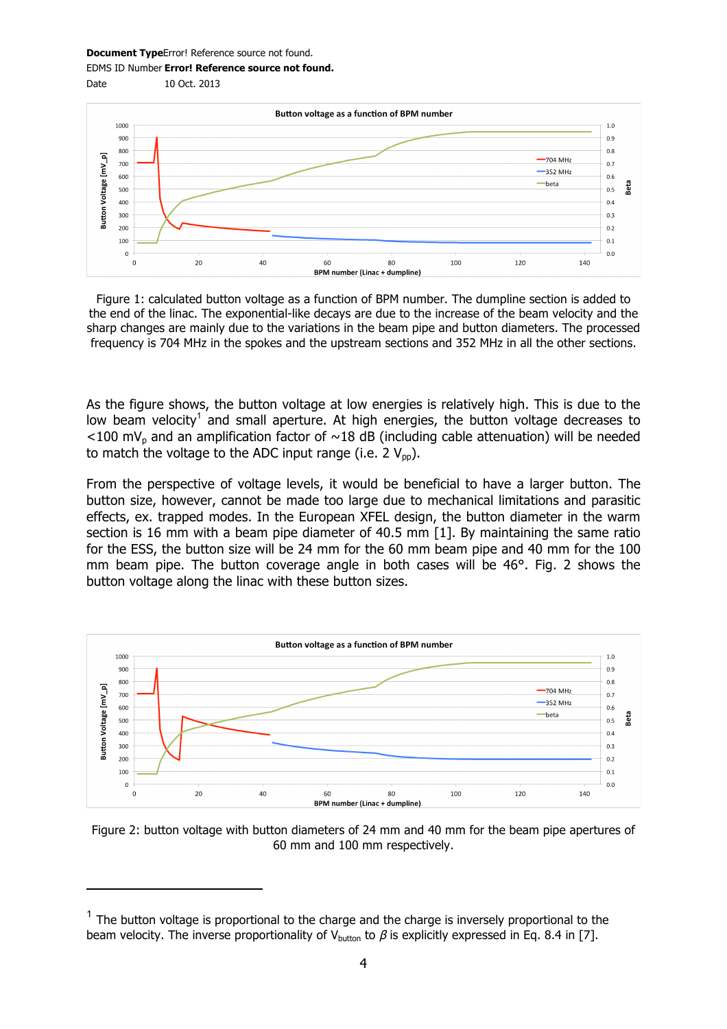#### **Document Type**Error! Reference source not found.

Date 10 Oct. 2013

j

EDMS ID Number **Error! Reference source not found.**



Figure 1: calculated button voltage as a function of BPM number. The dumpline section is added to the end of the linac. The exponential-like decays are due to the increase of the beam velocity and the sharp changes are mainly due to the variations in the beam pipe and button diameters. The processed frequency is 704 MHz in the spokes and the upstream sections and 352 MHz in all the other sections.

As the figure shows, the button voltage at low energies is relatively high. This is due to the low beam velocity<sup>1</sup> and small aperture. At high energies, the button voltage decreases to  $<$ 100 mV<sub>p</sub> and an amplification factor of  $\sim$ 18 dB (including cable attenuation) will be needed to match the voltage to the ADC input range (i.e.  $2 V_{\text{np}}$ ).

From the perspective of voltage levels, it would be beneficial to have a larger button. The button size, however, cannot be made too large due to mechanical limitations and parasitic effects, ex. trapped modes. In the European XFEL design, the button diameter in the warm section is 16 mm with a beam pipe diameter of 40.5 mm [1]. By maintaining the same ratio for the ESS, the button size will be 24 mm for the 60 mm beam pipe and 40 mm for the 100 mm beam pipe. The button coverage angle in both cases will be 46°. Fig. 2 shows the button voltage along the linac with these button sizes.



Figure 2: button voltage with button diameters of 24 mm and 40 mm for the beam pipe apertures of 60 mm and 100 mm respectively.

 $1$  The button voltage is proportional to the charge and the charge is inversely proportional to the beam velocity. The inverse proportionality of V<sub>button</sub> to  $\beta$  is explicitly expressed in Eq. 8.4 in [7].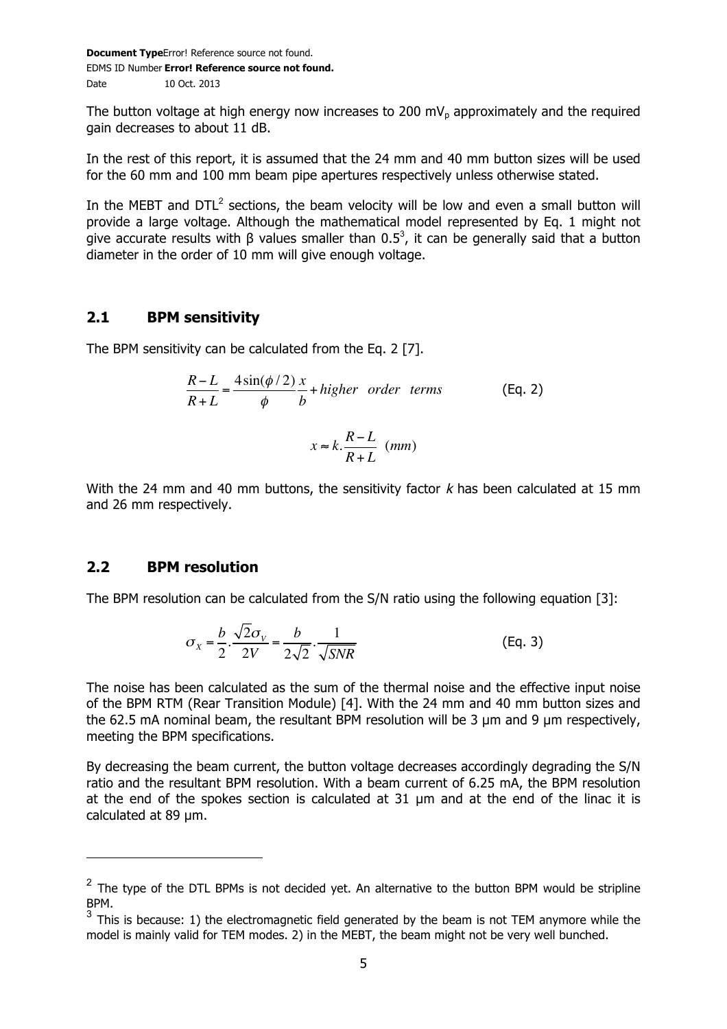The button voltage at high energy now increases to 200 mV<sub>p</sub> approximately and the required gain decreases to about 11 dB.

In the rest of this report, it is assumed that the 24 mm and 40 mm button sizes will be used for the 60 mm and 100 mm beam pipe apertures respectively unless otherwise stated.

In the MEBT and  $DTL<sup>2</sup>$  sections, the beam velocity will be low and even a small button will provide a large voltage. Although the mathematical model represented by Eq. 1 might not give accurate results with  $\beta$  values smaller than 0.5<sup>3</sup>, it can be generally said that a button diameter in the order of 10 mm will give enough voltage.

#### **2.1 BPM sensitivity**

The BPM sensitivity can be calculated from the Eq. 2 [7].

$$
\frac{R-L}{R+L} = \frac{4\sin(\phi/2)}{\phi} \frac{x}{b} + higher \ order \ terms
$$
 (Eq. 2)

$$
x \approx k.\frac{R-L}{R+L}~~(mm)
$$

With the 24 mm and 40 mm buttons, the sensitivity factor  $k$  has been calculated at 15 mm and 26 mm respectively.

#### **2.2 BPM resolution**

 $\overline{a}$ 

The BPM resolution can be calculated from the S/N ratio using the following equation [3]:

$$
\sigma_{X} = \frac{b}{2} \cdot \frac{\sqrt{2\sigma_{V}}}{2V} = \frac{b}{2\sqrt{2}} \cdot \frac{1}{\sqrt{SNR}}
$$
(Eq. 3)

The noise has been calculated as the sum of the thermal noise and the effective input noise of the BPM RTM (Rear Transition Module) [4]. With the 24 mm and 40 mm button sizes and the 62.5 mA nominal beam, the resultant BPM resolution will be 3  $\mu$ m and 9  $\mu$ m respectively, meeting the BPM specifications.

By decreasing the beam current, the button voltage decreases accordingly degrading the S/N ratio and the resultant BPM resolution. With a beam current of 6.25 mA, the BPM resolution at the end of the spokes section is calculated at 31 µm and at the end of the linac it is calculated at 89 µm.

 $2$  The type of the DTL BPMs is not decided yet. An alternative to the button BPM would be stripline BPM.

 $3$  This is because: 1) the electromagnetic field generated by the beam is not TEM anymore while the model is mainly valid for TEM modes. 2) in the MEBT, the beam might not be very well bunched.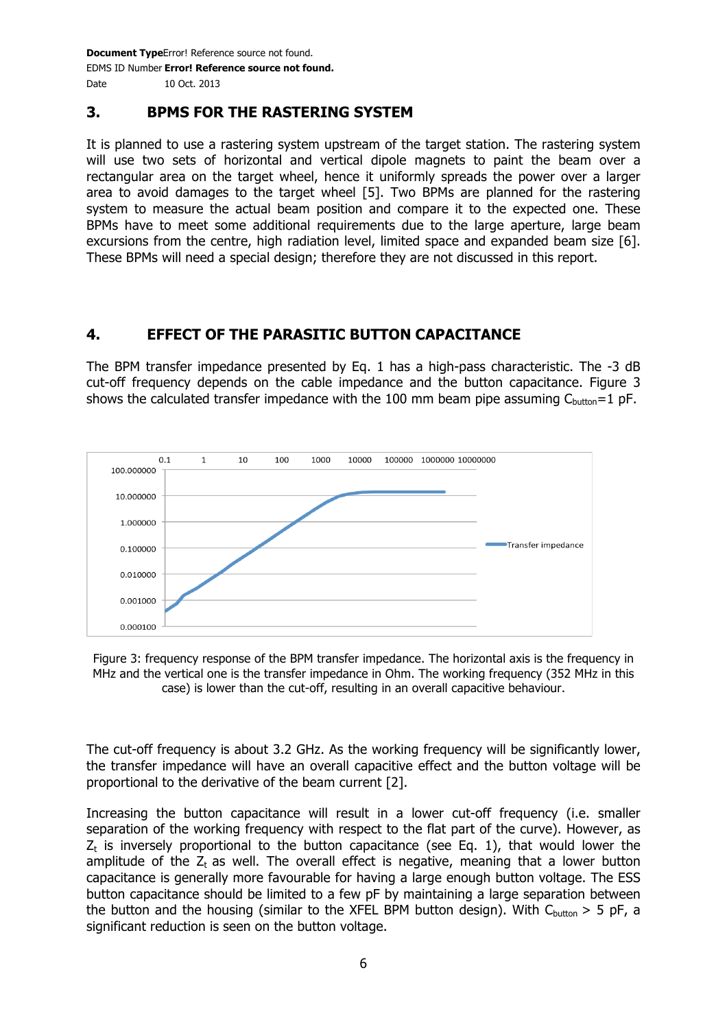### **3. BPMS FOR THE RASTERING SYSTEM**

It is planned to use a rastering system upstream of the target station. The rastering system will use two sets of horizontal and vertical dipole magnets to paint the beam over a rectangular area on the target wheel, hence it uniformly spreads the power over a larger area to avoid damages to the target wheel [5]. Two BPMs are planned for the rastering system to measure the actual beam position and compare it to the expected one. These BPMs have to meet some additional requirements due to the large aperture, large beam excursions from the centre, high radiation level, limited space and expanded beam size [6]. These BPMs will need a special design; therefore they are not discussed in this report.

### **4. EFFECT OF THE PARASITIC BUTTON CAPACITANCE**

The BPM transfer impedance presented by Eq. 1 has a high-pass characteristic. The -3 dB cut-off frequency depends on the cable impedance and the button capacitance. Figure 3 shows the calculated transfer impedance with the 100 mm beam pipe assuming  $C_{\text{hutton}}=1$  pF.



Figure 3: frequency response of the BPM transfer impedance. The horizontal axis is the frequency in MHz and the vertical one is the transfer impedance in Ohm. The working frequency (352 MHz in this case) is lower than the cut-off, resulting in an overall capacitive behaviour.

The cut-off frequency is about 3.2 GHz. As the working frequency will be significantly lower, the transfer impedance will have an overall capacitive effect and the button voltage will be proportional to the derivative of the beam current [2].

Increasing the button capacitance will result in a lower cut-off frequency (i.e. smaller separation of the working frequency with respect to the flat part of the curve). However, as  $Z_t$  is inversely proportional to the button capacitance (see Eq. 1), that would lower the amplitude of the  $Z_t$  as well. The overall effect is negative, meaning that a lower button capacitance is generally more favourable for having a large enough button voltage. The ESS button capacitance should be limited to a few pF by maintaining a large separation between the button and the housing (similar to the XFEL BPM button design). With  $C_{\text{button}} > 5$  pF, a significant reduction is seen on the button voltage.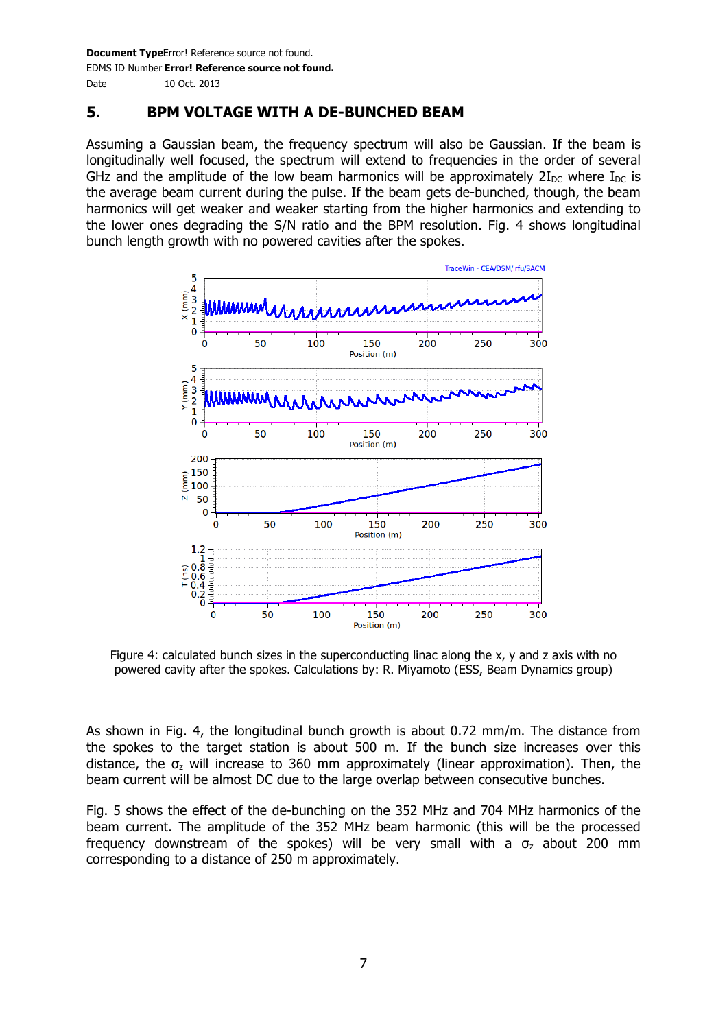## **5. BPM VOLTAGE WITH A DE-BUNCHED BEAM**

Assuming a Gaussian beam, the frequency spectrum will also be Gaussian. If the beam is longitudinally well focused, the spectrum will extend to frequencies in the order of several GHz and the amplitude of the low beam harmonics will be approximately  $2I_{DC}$  where  $I_{DC}$  is the average beam current during the pulse. If the beam gets de-bunched, though, the beam harmonics will get weaker and weaker starting from the higher harmonics and extending to the lower ones degrading the S/N ratio and the BPM resolution. Fig. 4 shows longitudinal bunch length growth with no powered cavities after the spokes.



Figure 4: calculated bunch sizes in the superconducting linac along the x, y and z axis with no powered cavity after the spokes. Calculations by: R. Miyamoto (ESS, Beam Dynamics group)

As shown in Fig. 4, the longitudinal bunch growth is about 0.72 mm/m. The distance from the spokes to the target station is about 500 m. If the bunch size increases over this distance, the  $\sigma$ <sub>z</sub> will increase to 360 mm approximately (linear approximation). Then, the beam current will be almost DC due to the large overlap between consecutive bunches.

Fig. 5 shows the effect of the de-bunching on the 352 MHz and 704 MHz harmonics of the beam current. The amplitude of the 352 MHz beam harmonic (this will be the processed frequency downstream of the spokes) will be very small with a  $\sigma$ <sub>z</sub> about 200 mm corresponding to a distance of 250 m approximately.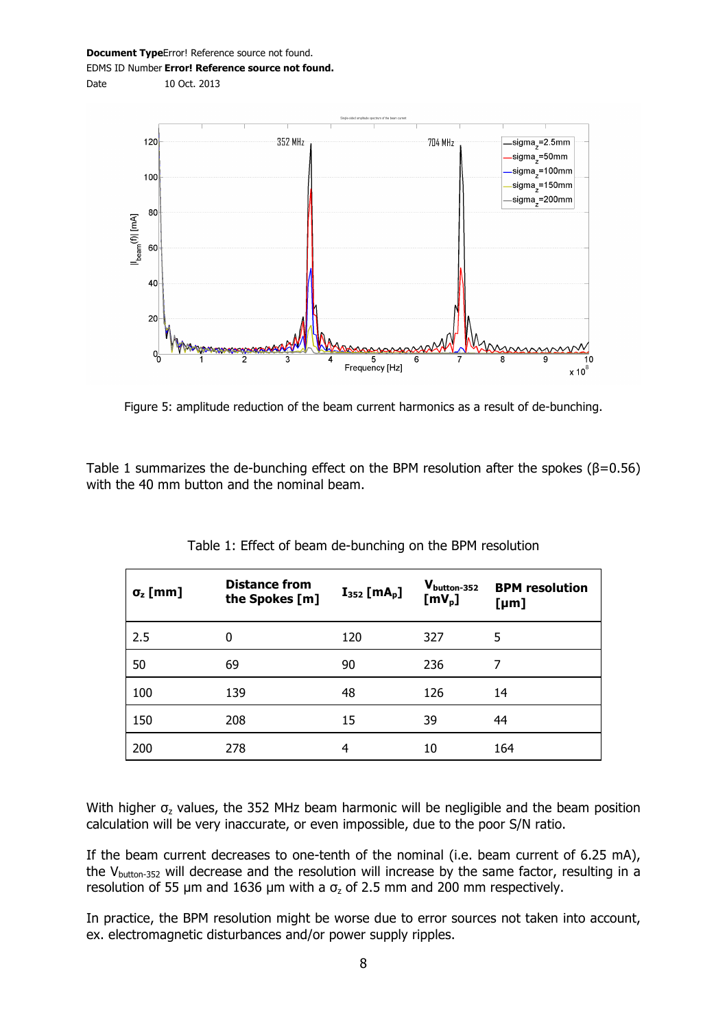Date 10 Oct. 2013



Figure 5: amplitude reduction of the beam current harmonics as a result of de-bunching.

Table 1 summarizes the de-bunching effect on the BPM resolution after the spokes ( $\beta$ =0.56) with the 40 mm button and the nominal beam.

| $\sigma$ <sub>z</sub> [mm] | <b>Distance from</b><br>the Spokes [m] | $I_{352}$ [mA <sub>p</sub> ] | $V_{\text{button-}352}$<br>$[mV_p]$ | <b>BPM</b> resolution<br>[µm] |
|----------------------------|----------------------------------------|------------------------------|-------------------------------------|-------------------------------|
| 2.5                        | 0                                      | 120                          | 327                                 | 5                             |
| 50                         | 69                                     | 90                           | 236                                 | 7                             |
| 100                        | 139                                    | 48                           | 126                                 | 14                            |
| 150                        | 208                                    | 15                           | 39                                  | 44                            |
| 200                        | 278                                    | 4                            | 10                                  | 164                           |

Table 1: Effect of beam de-bunching on the BPM resolution

With higher  $\sigma$ <sub>z</sub> values, the 352 MHz beam harmonic will be negligible and the beam position calculation will be very inaccurate, or even impossible, due to the poor S/N ratio.

If the beam current decreases to one-tenth of the nominal (i.e. beam current of 6.25 mA), the  $V_{\text{button-352}}$  will decrease and the resolution will increase by the same factor, resulting in a resolution of 55 µm and 1636 µm with a  $\sigma$ <sub>z</sub> of 2.5 mm and 200 mm respectively.

In practice, the BPM resolution might be worse due to error sources not taken into account, ex. electromagnetic disturbances and/or power supply ripples.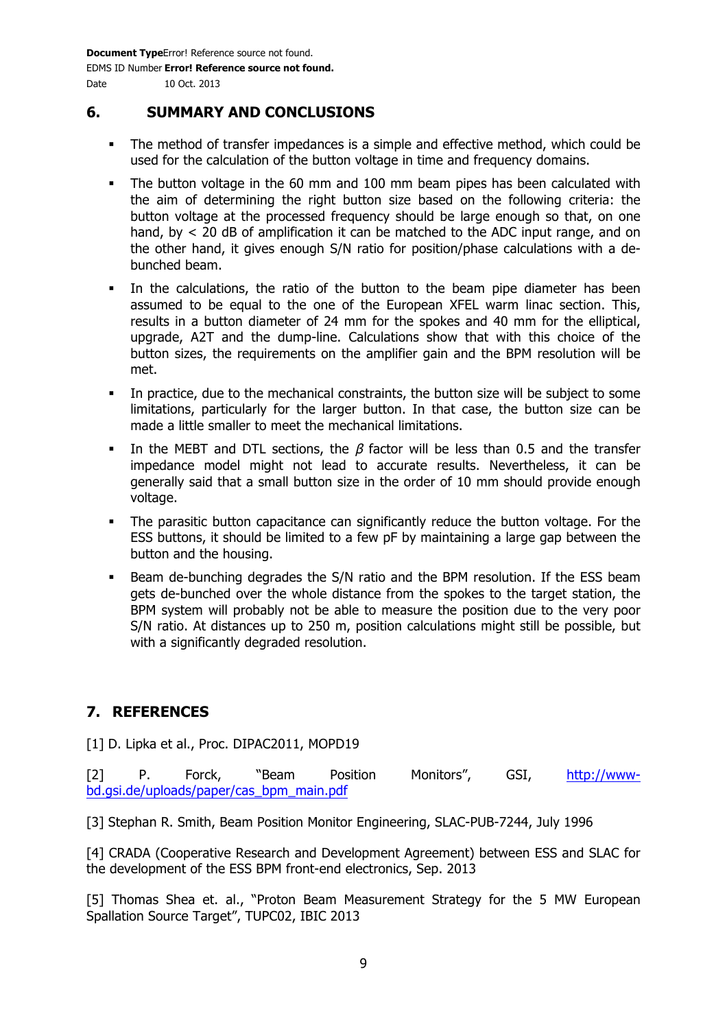#### **6. SUMMARY AND CONCLUSIONS**

- The method of transfer impedances is a simple and effective method, which could be used for the calculation of the button voltage in time and frequency domains.
- The button voltage in the 60 mm and 100 mm beam pipes has been calculated with the aim of determining the right button size based on the following criteria: the button voltage at the processed frequency should be large enough so that, on one hand, by  $\lt$  20 dB of amplification it can be matched to the ADC input range, and on the other hand, it gives enough S/N ratio for position/phase calculations with a debunched beam.
- In the calculations, the ratio of the button to the beam pipe diameter has been assumed to be equal to the one of the European XFEL warm linac section. This, results in a button diameter of 24 mm for the spokes and 40 mm for the elliptical, upgrade, A2T and the dump-line. Calculations show that with this choice of the button sizes, the requirements on the amplifier gain and the BPM resolution will be met.
- In practice, due to the mechanical constraints, the button size will be subject to some limitations, particularly for the larger button. In that case, the button size can be made a little smaller to meet the mechanical limitations.
- In the MEBT and DTL sections, the  $\beta$  factor will be less than 0.5 and the transfer impedance model might not lead to accurate results. Nevertheless, it can be generally said that a small button size in the order of 10 mm should provide enough voltage.
- The parasitic button capacitance can significantly reduce the button voltage. For the ESS buttons, it should be limited to a few pF by maintaining a large gap between the button and the housing.
- Beam de-bunching degrades the S/N ratio and the BPM resolution. If the ESS beam gets de-bunched over the whole distance from the spokes to the target station, the BPM system will probably not be able to measure the position due to the very poor S/N ratio. At distances up to 250 m, position calculations might still be possible, but with a significantly degraded resolution.

## **7. REFERENCES**

[1] D. Lipka et al., Proc. DIPAC2011, MOPD19

[2] P. Forck, "Beam Position Monitors", GSI, http://wwwbd.gsi.de/uploads/paper/cas\_bpm\_main.pdf

[3] Stephan R. Smith, Beam Position Monitor Engineering, SLAC-PUB-7244, July 1996

[4] CRADA (Cooperative Research and Development Agreement) between ESS and SLAC for the development of the ESS BPM front-end electronics, Sep. 2013

[5] Thomas Shea et. al., "Proton Beam Measurement Strategy for the 5 MW European Spallation Source Target", TUPC02, IBIC 2013